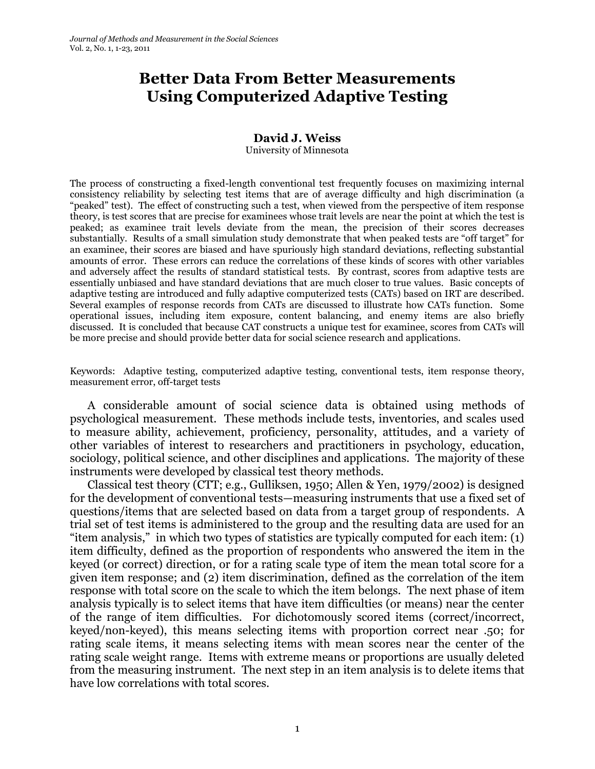# **Better Data From Better Measurements Using Computerized Adaptive Testing**

# **David J. Weiss**

University of Minnesota

The process of constructing a fixed-length conventional test frequently focuses on maximizing internal consistency reliability by selecting test items that are of average difficulty and high discrimination (a ―peaked‖ test). The effect of constructing such a test, when viewed from the perspective of item response theory, is test scores that are precise for examinees whose trait levels are near the point at which the test is peaked; as examinee trait levels deviate from the mean, the precision of their scores decreases substantially. Results of a small simulation study demonstrate that when peaked tests are "off target" for an examinee, their scores are biased and have spuriously high standard deviations, reflecting substantial amounts of error. These errors can reduce the correlations of these kinds of scores with other variables and adversely affect the results of standard statistical tests. By contrast, scores from adaptive tests are essentially unbiased and have standard deviations that are much closer to true values. Basic concepts of adaptive testing are introduced and fully adaptive computerized tests (CATs) based on IRT are described. Several examples of response records from CATs are discussed to illustrate how CATs function. Some operational issues, including item exposure, content balancing, and enemy items are also briefly discussed. It is concluded that because CAT constructs a unique test for examinee, scores from CATs will be more precise and should provide better data for social science research and applications.

Keywords: Adaptive testing, computerized adaptive testing, conventional tests, item response theory, measurement error, off-target tests

A considerable amount of social science data is obtained using methods of psychological measurement. These methods include tests, inventories, and scales used to measure ability, achievement, proficiency, personality, attitudes, and a variety of other variables of interest to researchers and practitioners in psychology, education, sociology, political science, and other disciplines and applications. The majority of these instruments were developed by classical test theory methods.

Classical test theory (CTT; e.g., Gulliksen, 1950; Allen & Yen, 1979/2002) is designed for the development of conventional tests—measuring instruments that use a fixed set of questions/items that are selected based on data from a target group of respondents. A trial set of test items is administered to the group and the resulting data are used for an "item analysis," in which two types of statistics are typically computed for each item: (1) item difficulty, defined as the proportion of respondents who answered the item in the keyed (or correct) direction, or for a rating scale type of item the mean total score for a given item response; and (2) item discrimination, defined as the correlation of the item response with total score on the scale to which the item belongs. The next phase of item analysis typically is to select items that have item difficulties (or means) near the center of the range of item difficulties. For dichotomously scored items (correct/incorrect, keyed/non-keyed), this means selecting items with proportion correct near .50; for rating scale items, it means selecting items with mean scores near the center of the rating scale weight range. Items with extreme means or proportions are usually deleted from the measuring instrument. The next step in an item analysis is to delete items that have low correlations with total scores.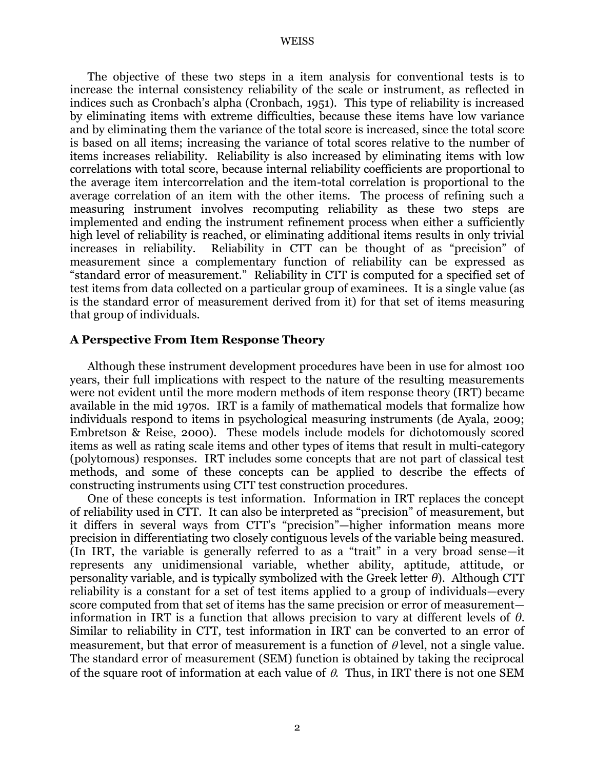The objective of these two steps in a item analysis for conventional tests is to increase the internal consistency reliability of the scale or instrument, as reflected in indices such as Cronbach's alpha (Cronbach, 1951). This type of reliability is increased by eliminating items with extreme difficulties, because these items have low variance and by eliminating them the variance of the total score is increased, since the total score is based on all items; increasing the variance of total scores relative to the number of items increases reliability. Reliability is also increased by eliminating items with low correlations with total score, because internal reliability coefficients are proportional to the average item intercorrelation and the item-total correlation is proportional to the average correlation of an item with the other items. The process of refining such a measuring instrument involves recomputing reliability as these two steps are implemented and ending the instrument refinement process when either a sufficiently high level of reliability is reached, or eliminating additional items results in only trivial increases in reliability. Reliability in CTT can be thought of as "precision" of measurement since a complementary function of reliability can be expressed as "standard error of measurement." Reliability in CTT is computed for a specified set of test items from data collected on a particular group of examinees. It is a single value (as is the standard error of measurement derived from it) for that set of items measuring that group of individuals.

#### **A Perspective From Item Response Theory**

Although these instrument development procedures have been in use for almost 100 years, their full implications with respect to the nature of the resulting measurements were not evident until the more modern methods of item response theory (IRT) became available in the mid 1970s. IRT is a family of mathematical models that formalize how individuals respond to items in psychological measuring instruments (de Ayala, 2009; Embretson & Reise, 2000). These models include models for dichotomously scored items as well as rating scale items and other types of items that result in multi-category (polytomous) responses. IRT includes some concepts that are not part of classical test methods, and some of these concepts can be applied to describe the effects of constructing instruments using CTT test construction procedures.

One of these concepts is test information. Information in IRT replaces the concept of reliability used in CTT. It can also be interpreted as "precision" of measurement, but it differs in several ways from CTT's "precision"—higher information means more precision in differentiating two closely contiguous levels of the variable being measured. (In IRT, the variable is generally referred to as a "trait" in a very broad sense—it represents any unidimensional variable, whether ability, aptitude, attitude, or personality variable, and is typically symbolized with the Greek letter *θ*). Although CTT reliability is a constant for a set of test items applied to a group of individuals—every score computed from that set of items has the same precision or error of measurement information in IRT is a function that allows precision to vary at different levels of *θ*. Similar to reliability in CTT, test information in IRT can be converted to an error of measurement, but that error of measurement is a function of  $\theta$  level, not a single value. The standard error of measurement (SEM) function is obtained by taking the reciprocal of the square root of information at each value of  $\theta$ . Thus, in IRT there is not one SEM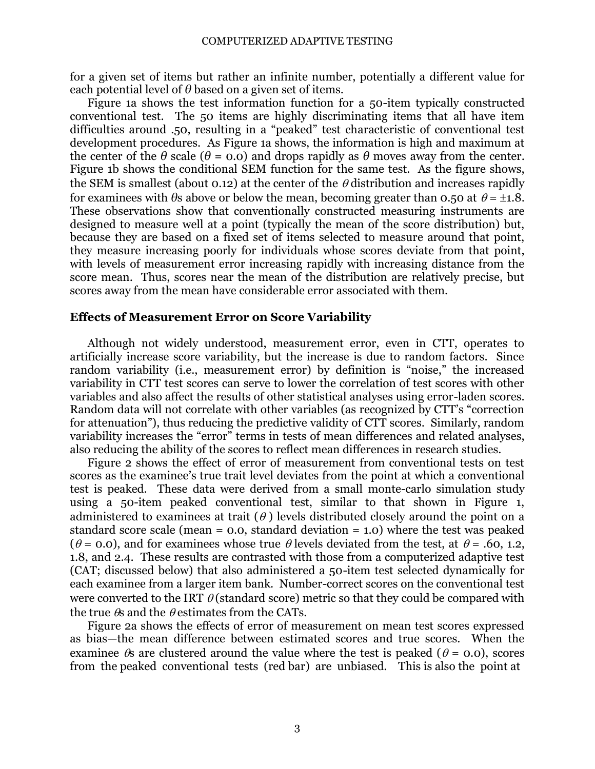for a given set of items but rather an infinite number, potentially a different value for each potential level of  $\theta$  based on a given set of items.

Figure 1a shows the test information function for a 50-item typically constructed conventional test. The 50 items are highly discriminating items that all have item difficulties around .50, resulting in a "peaked" test characteristic of conventional test development procedures. As Figure 1a shows, the information is high and maximum at the center of the  $\theta$  scale ( $\theta$  = 0.0) and drops rapidly as  $\theta$  moves away from the center. Figure 1b shows the conditional SEM function for the same test. As the figure shows, the SEM is smallest (about 0.12) at the center of the  $\theta$  distribution and increases rapidly for examinees with  $\theta$ s above or below the mean, becoming greater than 0.50 at  $\theta = \pm 1.8$ . These observations show that conventionally constructed measuring instruments are designed to measure well at a point (typically the mean of the score distribution) but, because they are based on a fixed set of items selected to measure around that point, they measure increasing poorly for individuals whose scores deviate from that point, with levels of measurement error increasing rapidly with increasing distance from the score mean. Thus, scores near the mean of the distribution are relatively precise, but scores away from the mean have considerable error associated with them.

#### **Effects of Measurement Error on Score Variability**

Although not widely understood, measurement error, even in CTT, operates to artificially increase score variability, but the increase is due to random factors. Since random variability (i.e., measurement error) by definition is "noise," the increased variability in CTT test scores can serve to lower the correlation of test scores with other variables and also affect the results of other statistical analyses using error-laden scores. Random data will not correlate with other variables (as recognized by CTT's "correction for attenuation"), thus reducing the predictive validity of CTT scores. Similarly, random variability increases the "error" terms in tests of mean differences and related analyses, also reducing the ability of the scores to reflect mean differences in research studies.

Figure 2 shows the effect of error of measurement from conventional tests on test scores as the examinee's true trait level deviates from the point at which a conventional test is peaked. These data were derived from a small monte-carlo simulation study using a 50-item peaked conventional test, similar to that shown in Figure 1, administered to examinees at trait  $(\theta)$  levels distributed closely around the point on a standard score scale (mean  $= 0.0$ , standard deviation  $= 1.0$ ) where the test was peaked ( $\theta$  = 0.0), and for examinees whose true  $\theta$  levels deviated from the test, at  $\theta$  = .60, 1.2, 1.8, and 2.4. These results are contrasted with those from a computerized adaptive test (CAT; discussed below) that also administered a 50-item test selected dynamically for each examinee from a larger item bank. Number-correct scores on the conventional test were converted to the IRT  $\theta$  (standard score) metric so that they could be compared with the true  $\theta$  and the  $\theta$  estimates from the CATs.

Figure 2a shows the effects of error of measurement on mean test scores expressed as bias—the mean difference between estimated scores and true scores. When the examinee  $\&$  are clustered around the value where the test is peaked ( $\theta$  = 0.0), scores from the peaked conventional tests (red bar) are unbiased. This is also the point at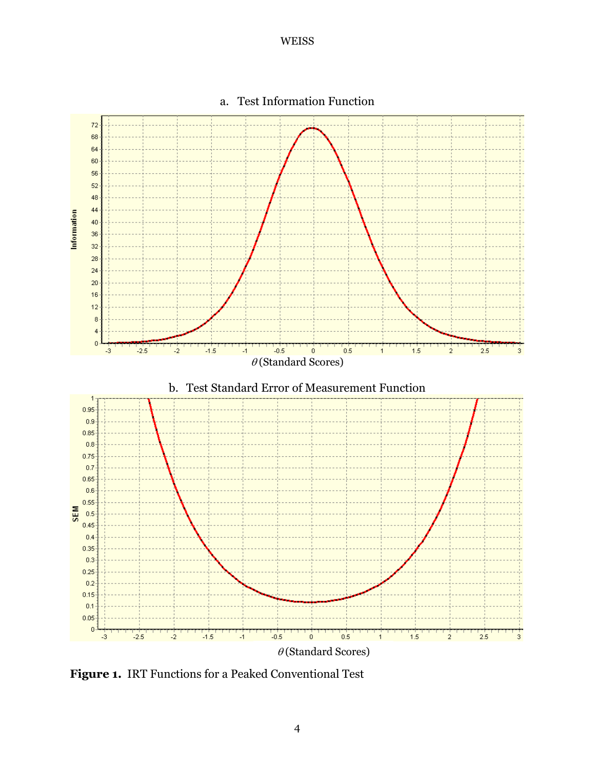

# a. Test Information Function

**Figure 1.** IRT Functions for a Peaked Conventional Test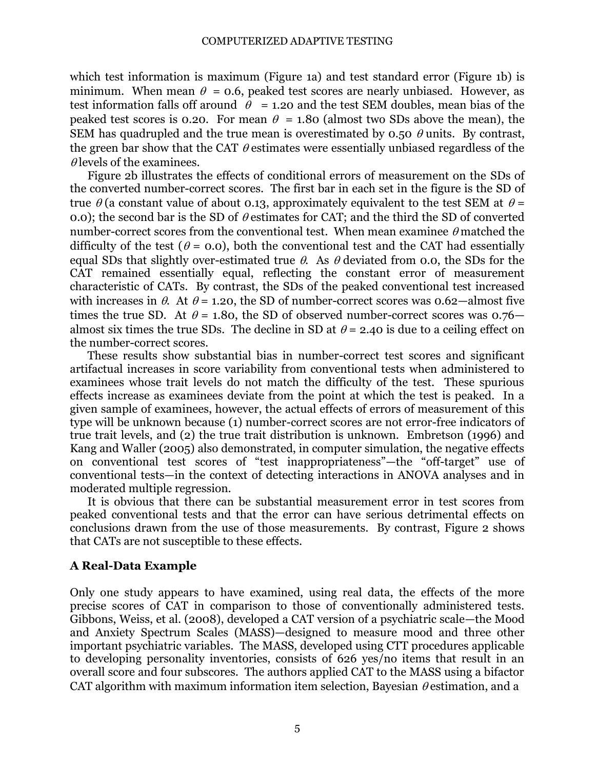which test information is maximum (Figure 1a) and test standard error (Figure 1b) is minimum. When mean  $\theta = 0.6$ , peaked test scores are nearly unbiased. However, as test information falls off around  $\theta = 1.20$  and the test SEM doubles, mean bias of the peaked test scores is 0.20. For mean  $\theta = 1.80$  (almost two SDs above the mean), the SEM has quadrupled and the true mean is overestimated by 0.50  $\theta$  units. By contrast, the green bar show that the CAT  $\theta$  estimates were essentially unbiased regardless of the  $\theta$  levels of the examinees.

Figure 2b illustrates the effects of conditional errors of measurement on the SDs of the converted number-correct scores. The first bar in each set in the figure is the SD of true  $\theta$  (a constant value of about 0.13, approximately equivalent to the test SEM at  $\theta$  = 0.0); the second bar is the SD of  $\theta$  estimates for CAT; and the third the SD of converted number-correct scores from the conventional test. When mean examinee  $\theta$  matched the difficulty of the test ( $\theta$  = 0.0), both the conventional test and the CAT had essentially equal SDs that slightly over-estimated true  $\theta$ . As  $\theta$  deviated from 0.0, the SDs for the CAT remained essentially equal, reflecting the constant error of measurement characteristic of CATs. By contrast, the SDs of the peaked conventional test increased with increases in  $\theta$ . At  $\theta$  = 1.20, the SD of number-correct scores was 0.62—almost five times the true SD. At  $\theta$  = 1.80, the SD of observed number-correct scores was 0.76– almost six times the true SDs. The decline in SD at  $\theta$  = 2.40 is due to a ceiling effect on the number-correct scores.

These results show substantial bias in number-correct test scores and significant artifactual increases in score variability from conventional tests when administered to examinees whose trait levels do not match the difficulty of the test. These spurious effects increase as examinees deviate from the point at which the test is peaked. In a given sample of examinees, however, the actual effects of errors of measurement of this type will be unknown because (1) number-correct scores are not error-free indicators of true trait levels, and (2) the true trait distribution is unknown. Embretson (1996) and Kang and Waller (2005) also demonstrated, in computer simulation, the negative effects on conventional test scores of "test inappropriateness"—the "off-target" use of conventional tests—in the context of detecting interactions in ANOVA analyses and in moderated multiple regression.

It is obvious that there can be substantial measurement error in test scores from peaked conventional tests and that the error can have serious detrimental effects on conclusions drawn from the use of those measurements. By contrast, Figure 2 shows that CATs are not susceptible to these effects.

# **A Real-Data Example**

Only one study appears to have examined, using real data, the effects of the more precise scores of CAT in comparison to those of conventionally administered tests. Gibbons, Weiss, et al. (2008), developed a CAT version of a psychiatric scale—the Mood and Anxiety Spectrum Scales (MASS)—designed to measure mood and three other important psychiatric variables. The MASS, developed using CTT procedures applicable to developing personality inventories, consists of 626 yes/no items that result in an overall score and four subscores. The authors applied CAT to the MASS using a bifactor CAT algorithm with maximum information item selection, Bayesian  $\theta$  estimation, and a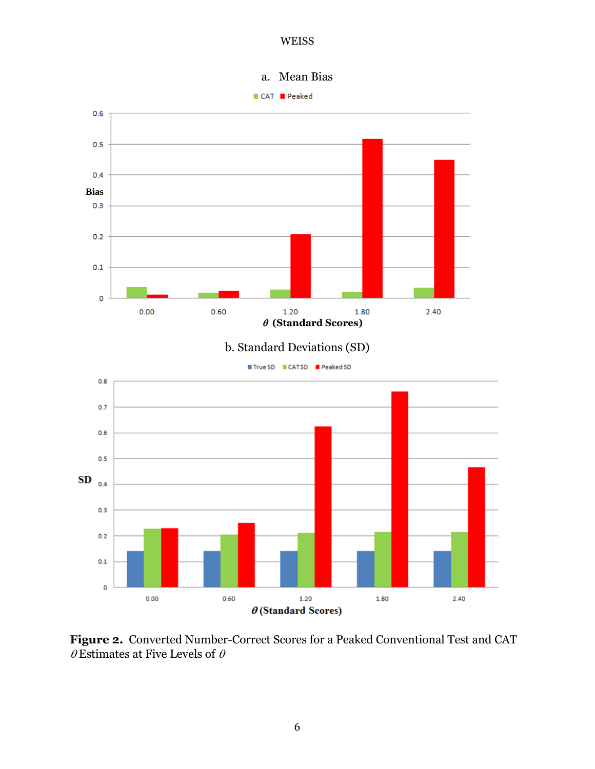

**Figure 2.** Converted Number-Correct Scores for a Peaked Conventional Test and CAT  $\theta$  Estimates at Five Levels of  $\theta$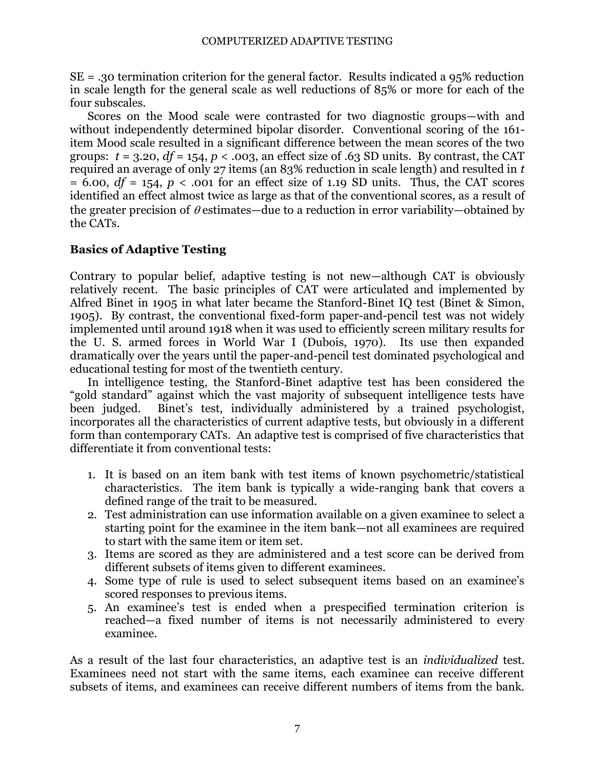SE = .30 termination criterion for the general factor. Results indicated a 95% reduction in scale length for the general scale as well reductions of 85% or more for each of the four subscales.

Scores on the Mood scale were contrasted for two diagnostic groups—with and without independently determined bipolar disorder. Conventional scoring of the 161 item Mood scale resulted in a significant difference between the mean scores of the two groups:  $t = 3.20$ ,  $df = 154$ ,  $p < .003$ , an effect size of .63 SD units. By contrast, the CAT required an average of only 27 items (an 83% reduction in scale length) and resulted in *t*  $= 6.00$ ,  $df = 154$ ,  $p < .001$  for an effect size of 1.19 SD units. Thus, the CAT scores identified an effect almost twice as large as that of the conventional scores, as a result of the greater precision of  $\theta$  estimates—due to a reduction in error variability—obtained by the CATs.

# **Basics of Adaptive Testing**

Contrary to popular belief, adaptive testing is not new—although CAT is obviously relatively recent. The basic principles of CAT were articulated and implemented by Alfred Binet in 1905 in what later became the Stanford-Binet IQ test (Binet & Simon, 1905). By contrast, the conventional fixed-form paper-and-pencil test was not widely implemented until around 1918 when it was used to efficiently screen military results for the U. S. armed forces in World War I (Dubois, 1970). Its use then expanded dramatically over the years until the paper-and-pencil test dominated psychological and educational testing for most of the twentieth century.

In intelligence testing, the Stanford-Binet adaptive test has been considered the ―gold standard‖ against which the vast majority of subsequent intelligence tests have been judged. Binet's test, individually administered by a trained psychologist, incorporates all the characteristics of current adaptive tests, but obviously in a different form than contemporary CATs. An adaptive test is comprised of five characteristics that differentiate it from conventional tests:

- 1. It is based on an item bank with test items of known psychometric/statistical characteristics. The item bank is typically a wide-ranging bank that covers a defined range of the trait to be measured.
- 2. Test administration can use information available on a given examinee to select a starting point for the examinee in the item bank—not all examinees are required to start with the same item or item set.
- 3. Items are scored as they are administered and a test score can be derived from different subsets of items given to different examinees.
- 4. Some type of rule is used to select subsequent items based on an examinee's scored responses to previous items.
- 5. An examinee's test is ended when a prespecified termination criterion is reached—a fixed number of items is not necessarily administered to every examinee.

As a result of the last four characteristics, an adaptive test is an *individualized* test. Examinees need not start with the same items, each examinee can receive different subsets of items, and examinees can receive different numbers of items from the bank.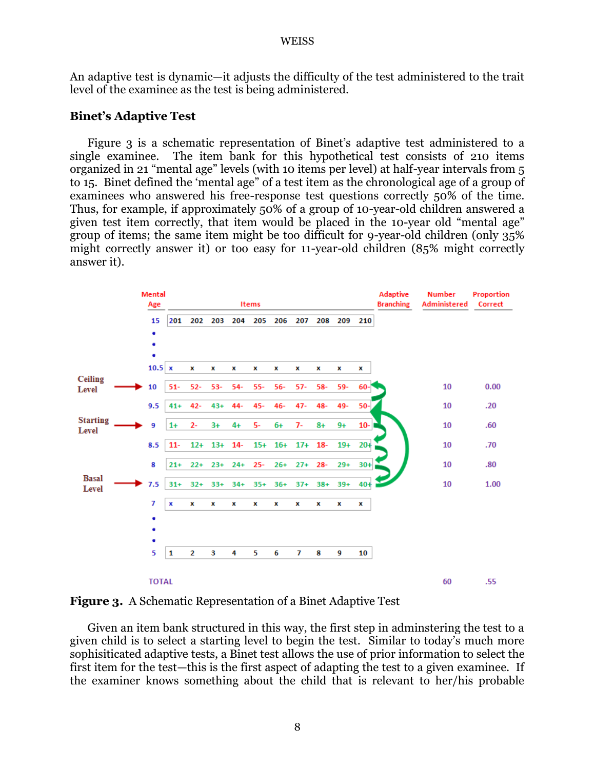An adaptive test is dynamic—it adjusts the difficulty of the test administered to the trait level of the examinee as the test is being administered.

# **Binet's Adaptive Test**

Figure 3 is a schematic representation of Binet's adaptive test administered to a single examinee. The item bank for this hypothetical test consists of 210 items organized in 21 "mental age" levels (with 10 items per level) at half-year intervals from 5 to 15. Binet defined the 'mental age" of a test item as the chronological age of a group of examinees who answered his free-response test questions correctly 50% of the time. Thus, for example, if approximately 50% of a group of 10-year-old children answered a given test item correctly, that item would be placed in the 10-year old "mental age" group of items; the same item might be too difficult for 9-year-old children (only 35% might correctly answer it) or too easy for 11-year-old children (85% might correctly answer it).



**Figure 3.** A Schematic Representation of a Binet Adaptive Test

Given an item bank structured in this way, the first step in adminstering the test to a given child is to select a starting level to begin the test. Similar to today's much more sophisiticated adaptive tests, a Binet test allows the use of prior information to select the first item for the test—this is the first aspect of adapting the test to a given examinee. If the examiner knows something about the child that is relevant to her/his probable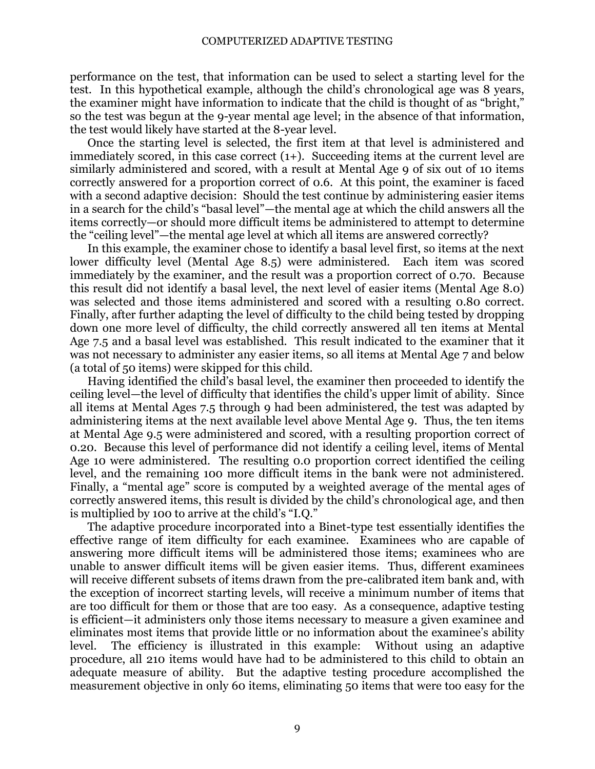performance on the test, that information can be used to select a starting level for the test. In this hypothetical example, although the child's chronological age was 8 years, the examiner might have information to indicate that the child is thought of as "bright," so the test was begun at the 9-year mental age level; in the absence of that information, the test would likely have started at the 8-year level.

Once the starting level is selected, the first item at that level is administered and immediately scored, in this case correct (1+). Succeeding items at the current level are similarly administered and scored, with a result at Mental Age 9 of six out of 10 items correctly answered for a proportion correct of 0.6. At this point, the examiner is faced with a second adaptive decision: Should the test continue by administering easier items in a search for the child's "basal level"—the mental age at which the child answers all the items correctly—or should more difficult items be administered to attempt to determine the "ceiling level"—the mental age level at which all items are answered correctly?

In this example, the examiner chose to identify a basal level first, so items at the next lower difficulty level (Mental Age 8.5) were administered. Each item was scored immediately by the examiner, and the result was a proportion correct of 0.70. Because this result did not identify a basal level, the next level of easier items (Mental Age 8.0) was selected and those items administered and scored with a resulting 0.80 correct. Finally, after further adapting the level of difficulty to the child being tested by dropping down one more level of difficulty, the child correctly answered all ten items at Mental Age 7.5 and a basal level was established. This result indicated to the examiner that it was not necessary to administer any easier items, so all items at Mental Age 7 and below (a total of 50 items) were skipped for this child.

Having identified the child's basal level, the examiner then proceeded to identify the ceiling level—the level of difficulty that identifies the child's upper limit of ability. Since all items at Mental Ages 7.5 through 9 had been administered, the test was adapted by administering items at the next available level above Mental Age 9. Thus, the ten items at Mental Age 9.5 were administered and scored, with a resulting proportion correct of 0.20. Because this level of performance did not identify a ceiling level, items of Mental Age 10 were administered. The resulting 0.0 proportion correct identified the ceiling level, and the remaining 100 more difficult items in the bank were not administered. Finally, a "mental age" score is computed by a weighted average of the mental ages of correctly answered items, this result is divided by the child's chronological age, and then is multiplied by 100 to arrive at the child's "I.O."

The adaptive procedure incorporated into a Binet-type test essentially identifies the effective range of item difficulty for each examinee. Examinees who are capable of answering more difficult items will be administered those items; examinees who are unable to answer difficult items will be given easier items. Thus, different examinees will receive different subsets of items drawn from the pre-calibrated item bank and, with the exception of incorrect starting levels, will receive a minimum number of items that are too difficult for them or those that are too easy. As a consequence, adaptive testing is efficient—it administers only those items necessary to measure a given examinee and eliminates most items that provide little or no information about the examinee's ability level. The efficiency is illustrated in this example: Without using an adaptive procedure, all 210 items would have had to be administered to this child to obtain an adequate measure of ability. But the adaptive testing procedure accomplished the measurement objective in only 60 items, eliminating 50 items that were too easy for the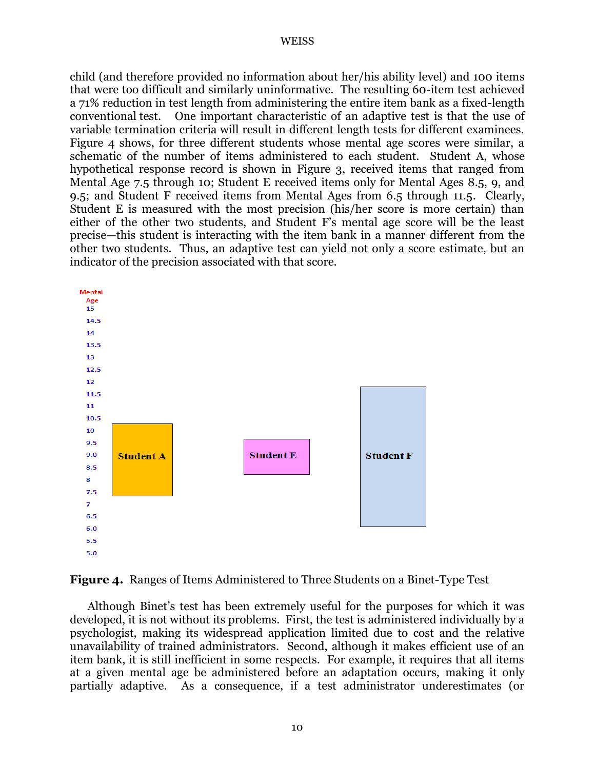child (and therefore provided no information about her/his ability level) and 100 items that were too difficult and similarly uninformative. The resulting 60-item test achieved a 71% reduction in test length from administering the entire item bank as a fixed-length conventional test. One important characteristic of an adaptive test is that the use of variable termination criteria will result in different length tests for different examinees. Figure 4 shows, for three different students whose mental age scores were similar, a schematic of the number of items administered to each student. Student A, whose hypothetical response record is shown in Figure 3, received items that ranged from Mental Age 7.5 through 10; Student E received items only for Mental Ages 8.5, 9, and 9.5; and Student F received items from Mental Ages from 6.5 through 11.5. Clearly, Student E is measured with the most precision (his/her score is more certain) than either of the other two students, and Student F's mental age score will be the least precise—this student is interacting with the item bank in a manner different from the other two students. Thus, an adaptive test can yield not only a score estimate, but an indicator of the precision associated with that score.





Although Binet's test has been extremely useful for the purposes for which it was developed, it is not without its problems. First, the test is administered individually by a psychologist, making its widespread application limited due to cost and the relative unavailability of trained administrators. Second, although it makes efficient use of an item bank, it is still inefficient in some respects. For example, it requires that all items at a given mental age be administered before an adaptation occurs, making it only partially adaptive. As a consequence, if a test administrator underestimates (or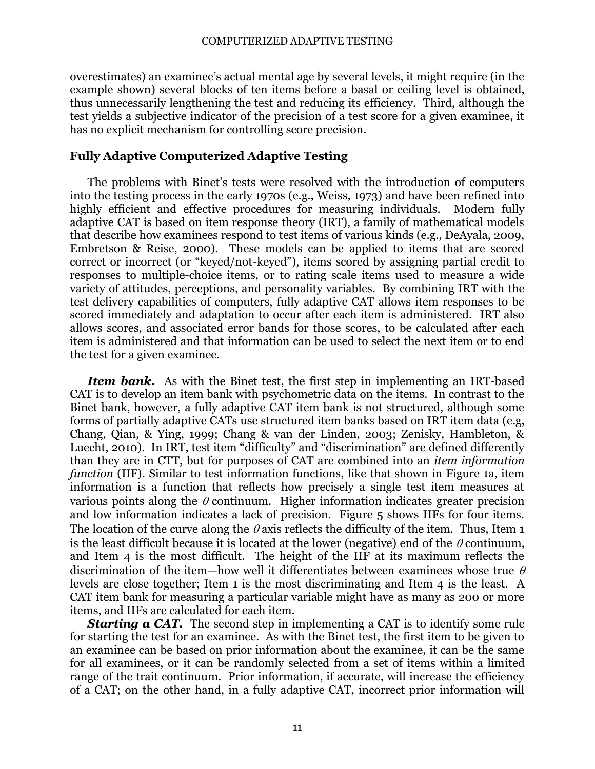overestimates) an examinee's actual mental age by several levels, it might require (in the example shown) several blocks of ten items before a basal or ceiling level is obtained, thus unnecessarily lengthening the test and reducing its efficiency. Third, although the test yields a subjective indicator of the precision of a test score for a given examinee, it has no explicit mechanism for controlling score precision.

# **Fully Adaptive Computerized Adaptive Testing**

The problems with Binet's tests were resolved with the introduction of computers into the testing process in the early 1970s (e.g., Weiss, 1973) and have been refined into highly efficient and effective procedures for measuring individuals. Modern fully adaptive CAT is based on item response theory (IRT), a family of mathematical models that describe how examinees respond to test items of various kinds (e.g., DeAyala, 2009, Embretson & Reise, 2000). These models can be applied to items that are scored correct or incorrect (or "keyed/not-keyed"), items scored by assigning partial credit to responses to multiple-choice items, or to rating scale items used to measure a wide variety of attitudes, perceptions, and personality variables. By combining IRT with the test delivery capabilities of computers, fully adaptive CAT allows item responses to be scored immediately and adaptation to occur after each item is administered. IRT also allows scores, and associated error bands for those scores, to be calculated after each item is administered and that information can be used to select the next item or to end the test for a given examinee.

*Item bank.* As with the Binet test, the first step in implementing an IRT-based CAT is to develop an item bank with psychometric data on the items. In contrast to the Binet bank, however, a fully adaptive CAT item bank is not structured, although some forms of partially adaptive CATs use structured item banks based on IRT item data (e.g, Chang, Qian, & Ying, 1999; Chang & van der Linden, 2003; Zenisky, Hambleton, & Luecht, 2010). In IRT, test item "difficulty" and "discrimination" are defined differently than they are in CTT, but for purposes of CAT are combined into an *item information function* (IIF). Similar to test information functions, like that shown in Figure 1a, item information is a function that reflects how precisely a single test item measures at various points along the  $\theta$  continuum. Higher information indicates greater precision and low information indicates a lack of precision. Figure 5 shows IIFs for four items. The location of the curve along the  $\theta$  axis reflects the difficulty of the item. Thus, Item 1 is the least difficult because it is located at the lower (negative) end of the  $\theta$  continuum, and Item 4 is the most difficult. The height of the IIF at its maximum reflects the discrimination of the item—how well it differentiates between examinees whose true  $\theta$ levels are close together; Item 1 is the most discriminating and Item 4 is the least. A CAT item bank for measuring a particular variable might have as many as 200 or more items, and IIFs are calculated for each item.

**Starting a CAT.** The second step in implementing a CAT is to identify some rule for starting the test for an examinee. As with the Binet test, the first item to be given to an examinee can be based on prior information about the examinee, it can be the same for all examinees, or it can be randomly selected from a set of items within a limited range of the trait continuum. Prior information, if accurate, will increase the efficiency of a CAT; on the other hand, in a fully adaptive CAT, incorrect prior information will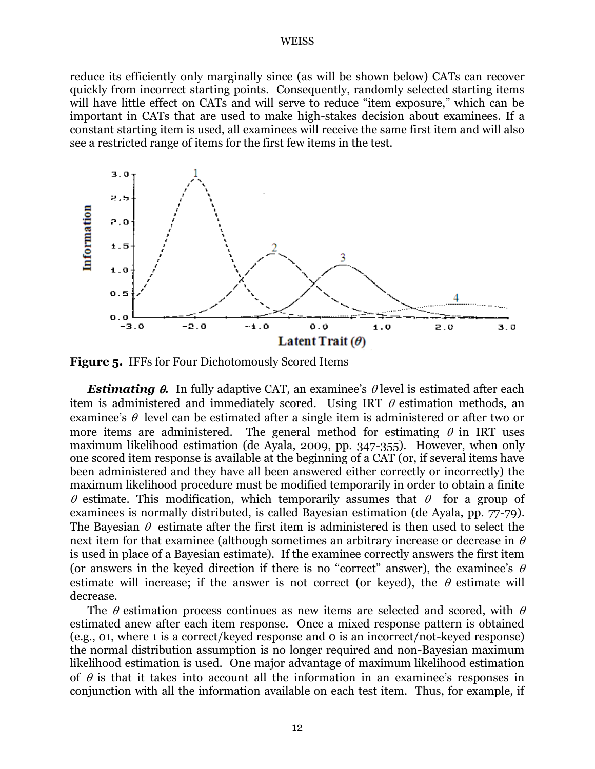reduce its efficiently only marginally since (as will be shown below) CATs can recover quickly from incorrect starting points. Consequently, randomly selected starting items will have little effect on CATs and will serve to reduce "item exposure," which can be important in CATs that are used to make high-stakes decision about examinees. If a constant starting item is used, all examinees will receive the same first item and will also see a restricted range of items for the first few items in the test.



**Figure 5.** IFFs for Four Dichotomously Scored Items

**Estimating**  $\theta$ **.** In fully adaptive CAT, an examinee's  $\theta$  level is estimated after each item is administered and immediately scored. Using IRT  $\theta$  estimation methods, an examinee's  $\theta$  level can be estimated after a single item is administered or after two or more items are administered. The general method for estimating  $\theta$  in IRT uses maximum likelihood estimation (de Ayala, 2009, pp. 347-355). However, when only one scored item response is available at the beginning of a CAT (or, if several items have been administered and they have all been answered either correctly or incorrectly) the maximum likelihood procedure must be modified temporarily in order to obtain a finite  $\theta$  estimate. This modification, which temporarily assumes that  $\theta$  for a group of examinees is normally distributed, is called Bayesian estimation (de Ayala, pp. 77-79). The Bayesian  $\theta$  estimate after the first item is administered is then used to select the next item for that examinee (although sometimes an arbitrary increase or decrease in  $\theta$ is used in place of a Bayesian estimate). If the examinee correctly answers the first item (or answers in the keyed direction if there is no "correct" answer), the examinee's  $\theta$ estimate will increase; if the answer is not correct (or keyed), the  $\theta$  estimate will decrease.

The  $\theta$  estimation process continues as new items are selected and scored, with  $\theta$ estimated anew after each item response. Once a mixed response pattern is obtained (e.g., 01, where 1 is a correct/keyed response and 0 is an incorrect/not-keyed response) the normal distribution assumption is no longer required and non-Bayesian maximum likelihood estimation is used. One major advantage of maximum likelihood estimation of  $\theta$  is that it takes into account all the information in an examinee's responses in conjunction with all the information available on each test item. Thus, for example, if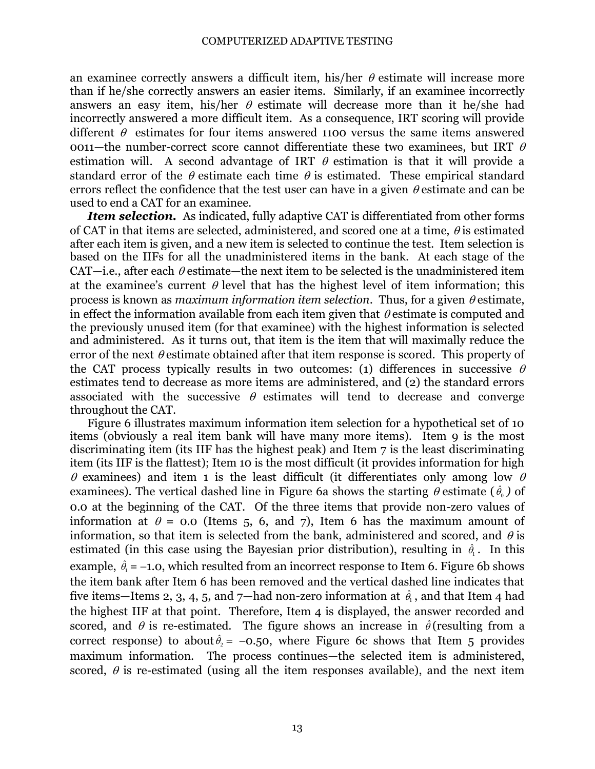an examinee correctly answers a difficult item, his/her  $\theta$  estimate will increase more than if he/she correctly answers an easier items. Similarly, if an examinee incorrectly answers an easy item, his/her  $\theta$  estimate will decrease more than it he/she had incorrectly answered a more difficult item. As a consequence, IRT scoring will provide different  $\theta$  estimates for four items answered 1100 versus the same items answered 0011—the number-correct score cannot differentiate these two examinees, but IRT  $\theta$ estimation will. A second advantage of IRT  $\theta$  estimation is that it will provide a standard error of the  $\theta$  estimate each time  $\theta$  is estimated. These empirical standard errors reflect the confidence that the test user can have in a given  $\theta$  estimate and can be used to end a CAT for an examinee.

*Item selection.* As indicated, fully adaptive CAT is differentiated from other forms of CAT in that items are selected, administered, and scored one at a time,  $\theta$  is estimated after each item is given, and a new item is selected to continue the test. Item selection is based on the IIFs for all the unadministered items in the bank. At each stage of the CAT—i.e., after each  $\theta$  estimate—the next item to be selected is the unadministered item at the examinee's current  $\theta$  level that has the highest level of item information; this process is known as *maximum information item selection*. Thus, for a given  $\theta$  estimate, in effect the information available from each item given that  $\theta$  estimate is computed and the previously unused item (for that examinee) with the highest information is selected and administered. As it turns out, that item is the item that will maximally reduce the error of the next  $\theta$  estimate obtained after that item response is scored. This property of the CAT process typically results in two outcomes: (1) differences in successive  $\theta$ estimates tend to decrease as more items are administered, and (2) the standard errors associated with the successive  $\theta$  estimates will tend to decrease and converge throughout the CAT.

Figure 6 illustrates maximum information item selection for a hypothetical set of 10 items (obviously a real item bank will have many more items). Item 9 is the most discriminating item (its IIF has the highest peak) and Item 7 is the least discriminating item (its IIF is the flattest); Item 10 is the most difficult (it provides information for high  $\theta$  examinees) and item 1 is the least difficult (it differentiates only among low  $\theta$ examinees). The vertical dashed line in Figure 6a shows the starting  $\theta$  estimate ( $\hat{\theta}_0$ ) of 0.0 at the beginning of the CAT. Of the three items that provide non-zero values of information at  $\theta = 0.0$  (Items 5, 6, and 7), Item 6 has the maximum amount of information, so that item is selected from the bank, administered and scored, and  $\theta$  is estimated (in this case using the Bayesian prior distribution), resulting in  $\hat{\theta}_i$ . In this example,  $\hat{\theta}_1 = -1.0$ , which resulted from an incorrect response to Item 6. Figure 6b shows the item bank after Item 6 has been removed and the vertical dashed line indicates that five items—Items 2, 3, 4, 5, and 7—had non-zero information at  $\hat{\theta}_\text{\tiny l}$  , and that Item 4 had the highest IIF at that point. Therefore, Item 4 is displayed, the answer recorded and scored, and  $\theta$  is re-estimated. The figure shows an increase in  $\hat{\theta}$  (resulting from a correct response) to about  $\hat{\theta}_2 = -0.50$ , where Figure 6c shows that Item 5 provides maximum information. The process continues—the selected item is administered, scored,  $\theta$  is re-estimated (using all the item responses available), and the next item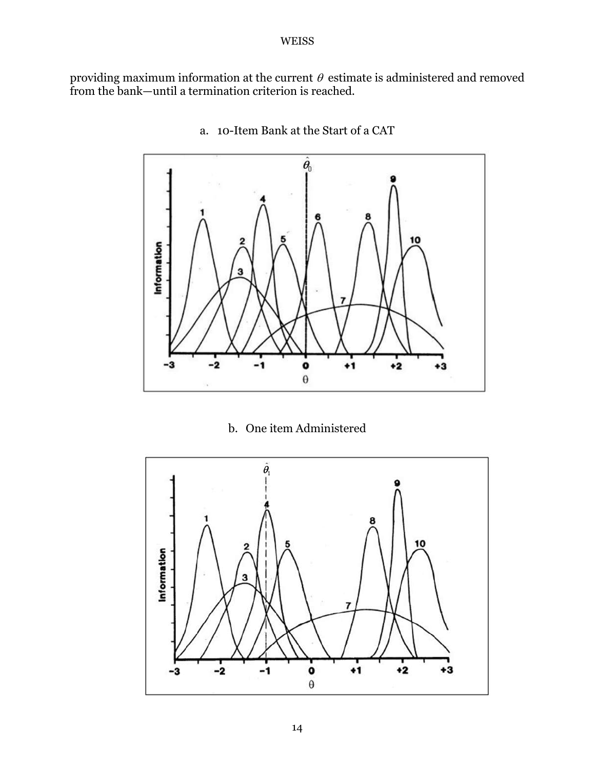providing maximum information at the current  $\theta$  estimate is administered and removed from the bank—until a termination criterion is reached.



a. 10-Item Bank at the Start of a CAT

b. One item Administered

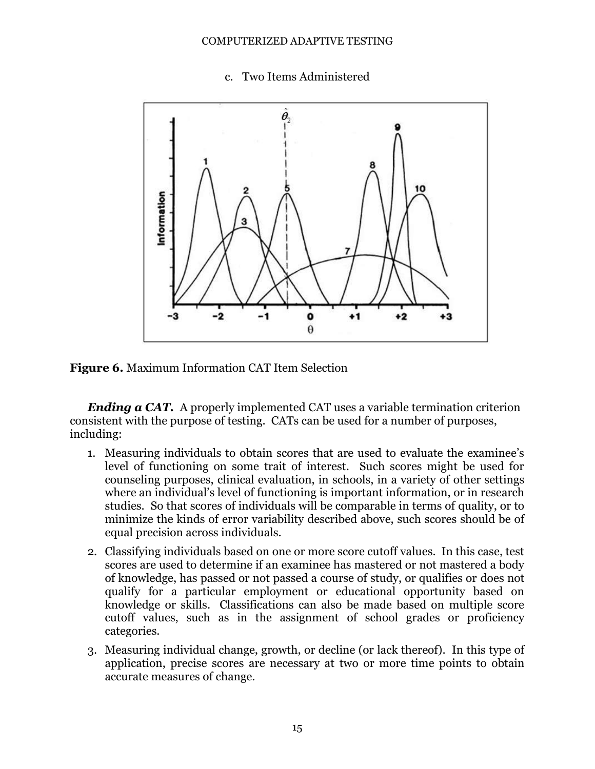#### COMPUTERIZED ADAPTIVE TESTING

c. Two Items Administered



**Figure 6.** Maximum Information CAT Item Selection

*Ending a CAT.* A properly implemented CAT uses a variable termination criterion consistent with the purpose of testing. CATs can be used for a number of purposes, including:

- 1. Measuring individuals to obtain scores that are used to evaluate the examinee's level of functioning on some trait of interest. Such scores might be used for counseling purposes, clinical evaluation, in schools, in a variety of other settings where an individual's level of functioning is important information, or in research studies. So that scores of individuals will be comparable in terms of quality, or to minimize the kinds of error variability described above, such scores should be of equal precision across individuals.
- 2. Classifying individuals based on one or more score cutoff values. In this case, test scores are used to determine if an examinee has mastered or not mastered a body of knowledge, has passed or not passed a course of study, or qualifies or does not qualify for a particular employment or educational opportunity based on knowledge or skills. Classifications can also be made based on multiple score cutoff values, such as in the assignment of school grades or proficiency categories.
- 3. Measuring individual change, growth, or decline (or lack thereof). In this type of application, precise scores are necessary at two or more time points to obtain accurate measures of change.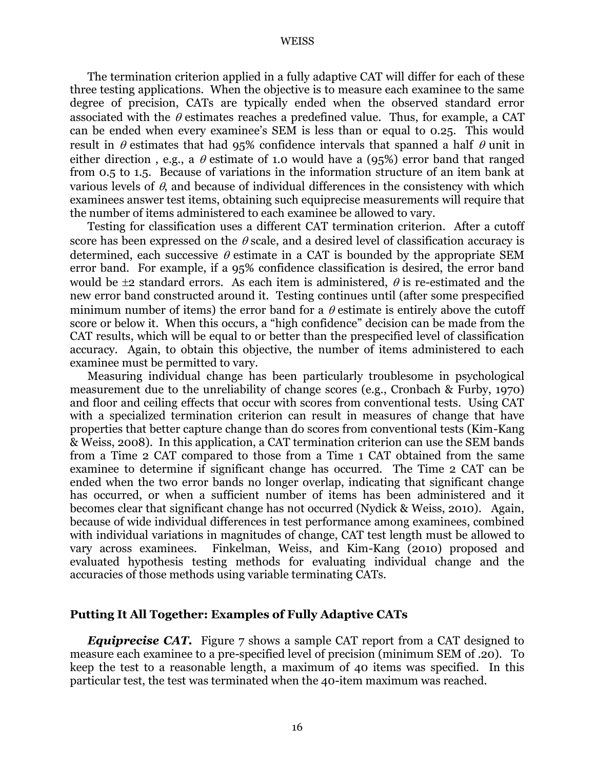The termination criterion applied in a fully adaptive CAT will differ for each of these three testing applications. When the objective is to measure each examinee to the same degree of precision, CATs are typically ended when the observed standard error associated with the  $\theta$  estimates reaches a predefined value. Thus, for example, a CAT can be ended when every examinee's SEM is less than or equal to 0.25. This would result in  $\theta$  estimates that had 95% confidence intervals that spanned a half  $\theta$  unit in either direction, e.g., a  $\theta$  estimate of 1.0 would have a (95%) error band that ranged from 0.5 to 1.5. Because of variations in the information structure of an item bank at various levels of  $\theta$ , and because of individual differences in the consistency with which examinees answer test items, obtaining such equiprecise measurements will require that the number of items administered to each examinee be allowed to vary.

Testing for classification uses a different CAT termination criterion. After a cutoff score has been expressed on the  $\theta$  scale, and a desired level of classification accuracy is determined, each successive  $\theta$  estimate in a CAT is bounded by the appropriate SEM error band. For example, if a 95% confidence classification is desired, the error band would be  $\pm 2$  standard errors. As each item is administered,  $\theta$  is re-estimated and the new error band constructed around it. Testing continues until (after some prespecified minimum number of items) the error band for a  $\theta$  estimate is entirely above the cutoff score or below it. When this occurs, a "high confidence" decision can be made from the CAT results, which will be equal to or better than the prespecified level of classification accuracy. Again, to obtain this objective, the number of items administered to each examinee must be permitted to vary.

Measuring individual change has been particularly troublesome in psychological measurement due to the unreliability of change scores (e.g., Cronbach & Furby, 1970) and floor and ceiling effects that occur with scores from conventional tests. Using CAT with a specialized termination criterion can result in measures of change that have properties that better capture change than do scores from conventional tests (Kim-Kang & Weiss, 2008). In this application, a CAT termination criterion can use the SEM bands from a Time 2 CAT compared to those from a Time 1 CAT obtained from the same examinee to determine if significant change has occurred. The Time 2 CAT can be ended when the two error bands no longer overlap, indicating that significant change has occurred, or when a sufficient number of items has been administered and it becomes clear that significant change has not occurred (Nydick & Weiss, 2010). Again, because of wide individual differences in test performance among examinees, combined with individual variations in magnitudes of change, CAT test length must be allowed to vary across examinees. Finkelman, Weiss, and Kim-Kang (2010) proposed and evaluated hypothesis testing methods for evaluating individual change and the accuracies of those methods using variable terminating CATs.

### **Putting It All Together: Examples of Fully Adaptive CATs**

*Equiprecise CAT.* Figure 7 shows a sample CAT report from a CAT designed to measure each examinee to a pre-specified level of precision (minimum SEM of .20). To keep the test to a reasonable length, a maximum of 40 items was specified. In this particular test, the test was terminated when the 40-item maximum was reached.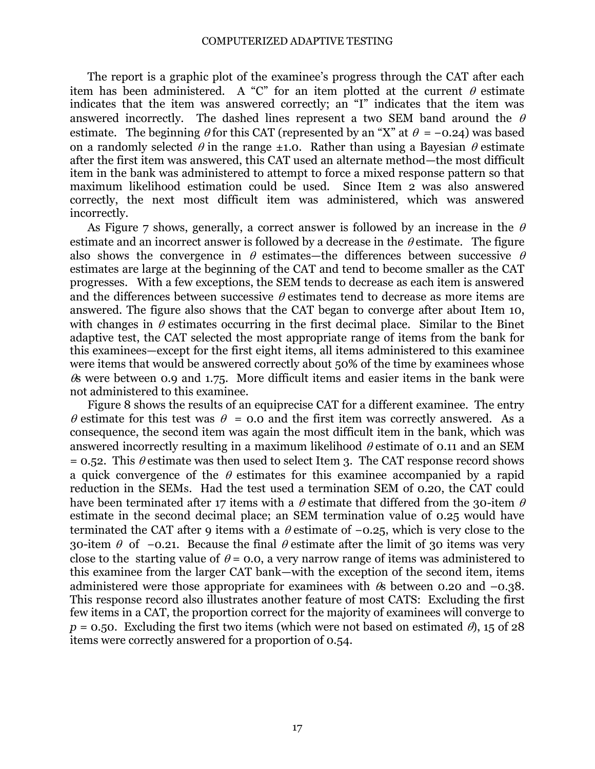The report is a graphic plot of the examinee's progress through the CAT after each item has been administered. A "C" for an item plotted at the current  $\theta$  estimate indicates that the item was answered correctly; an "I" indicates that the item was answered incorrectly. The dashed lines represent a two SEM band around the  $\theta$ estimate. The beginning  $\theta$  for this CAT (represented by an "X" at  $\theta = -0.24$ ) was based on a randomly selected  $\theta$  in the range  $\pm$ 1.0. Rather than using a Bayesian  $\theta$  estimate after the first item was answered, this CAT used an alternate method—the most difficult item in the bank was administered to attempt to force a mixed response pattern so that maximum likelihood estimation could be used. Since Item 2 was also answered correctly, the next most difficult item was administered, which was answered incorrectly.

As Figure 7 shows, generally, a correct answer is followed by an increase in the  $\theta$ estimate and an incorrect answer is followed by a decrease in the  $\theta$  estimate. The figure also shows the convergence in  $\theta$  estimates—the differences between successive  $\theta$ estimates are large at the beginning of the CAT and tend to become smaller as the CAT progresses. With a few exceptions, the SEM tends to decrease as each item is answered and the differences between successive  $\theta$  estimates tend to decrease as more items are answered. The figure also shows that the CAT began to converge after about Item 10, with changes in  $\theta$  estimates occurring in the first decimal place. Similar to the Binet adaptive test, the CAT selected the most appropriate range of items from the bank for this examinees—except for the first eight items, all items administered to this examinee were items that would be answered correctly about 50% of the time by examinees whose  $\&$  were between 0.9 and 1.75. More difficult items and easier items in the bank were not administered to this examinee.

Figure 8 shows the results of an equiprecise CAT for a different examinee. The entry  $\theta$  estimate for this test was  $\theta = 0.0$  and the first item was correctly answered. As a consequence, the second item was again the most difficult item in the bank, which was answered incorrectly resulting in a maximum likelihood  $\theta$  estimate of 0.11 and an SEM  $= 0.52$ . This  $\theta$  estimate was then used to select Item 3. The CAT response record shows a quick convergence of the  $\theta$  estimates for this examinee accompanied by a rapid reduction in the SEMs. Had the test used a termination SEM of 0.20, the CAT could have been terminated after 17 items with a  $\theta$  estimate that differed from the 30-item  $\theta$ estimate in the second decimal place; an SEM termination value of 0.25 would have terminated the CAT after 9 items with a  $\theta$  estimate of −0.25, which is very close to the 30-item  $\theta$  of −0.21. Because the final  $\theta$  estimate after the limit of 30 items was very close to the starting value of  $\theta$  = 0.0, a very narrow range of items was administered to this examinee from the larger CAT bank—with the exception of the second item, items administered were those appropriate for examinees with  $\&$  between 0.20 and -0.38. This response record also illustrates another feature of most CATS: Excluding the first few items in a CAT, the proportion correct for the majority of examinees will converge to  $p = 0.50$ . Excluding the first two items (which were not based on estimated  $\theta$ ), 15 of 28 items were correctly answered for a proportion of 0.54.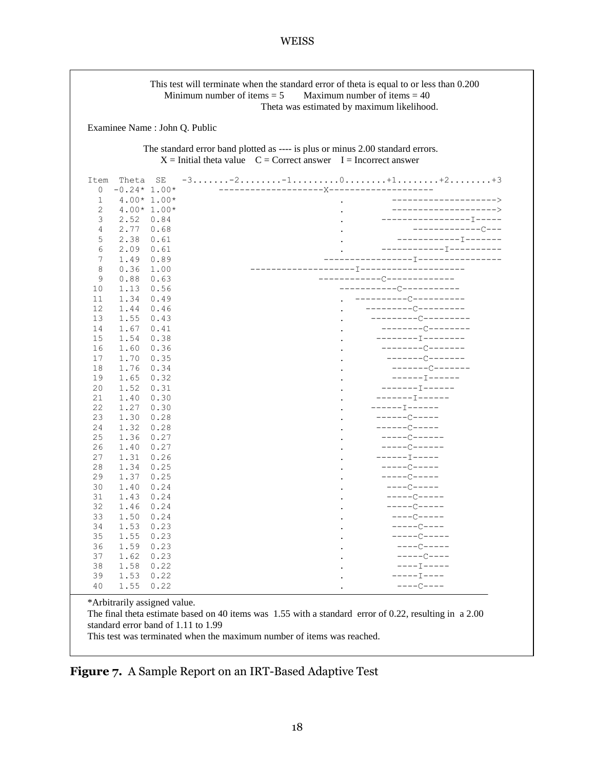|                                                                                                                                                       |               |              | Examinee Name: John Q. Public                                                                                                                                                                                                                                                                                                                                                                                                                                                              |  |  |  |  |  |
|-------------------------------------------------------------------------------------------------------------------------------------------------------|---------------|--------------|--------------------------------------------------------------------------------------------------------------------------------------------------------------------------------------------------------------------------------------------------------------------------------------------------------------------------------------------------------------------------------------------------------------------------------------------------------------------------------------------|--|--|--|--|--|
| The standard error band plotted as ---- is plus or minus 2.00 standard errors.<br>$X =$ Initial theta value $C =$ Correct answer I = Incorrect answer |               |              |                                                                                                                                                                                                                                                                                                                                                                                                                                                                                            |  |  |  |  |  |
| Item                                                                                                                                                  | Theta         | SE           | $-3.\dots 2.\dots 2.\dots 1.\dots 1.\dots 0.\dots 1.1.\dots 1.1.\dots 12.\dots 1.13$                                                                                                                                                                                                                                                                                                                                                                                                       |  |  |  |  |  |
| 0                                                                                                                                                     | $-0.24*1.00*$ |              |                                                                                                                                                                                                                                                                                                                                                                                                                                                                                            |  |  |  |  |  |
| 1                                                                                                                                                     |               | $4.00*1.00*$ | ---------------------><br>$\sim$                                                                                                                                                                                                                                                                                                                                                                                                                                                           |  |  |  |  |  |
| 2                                                                                                                                                     | $4.00*1.00*$  |              | ______________________                                                                                                                                                                                                                                                                                                                                                                                                                                                                     |  |  |  |  |  |
| 3                                                                                                                                                     | 2.52          | 0.84         | ------------------T-----                                                                                                                                                                                                                                                                                                                                                                                                                                                                   |  |  |  |  |  |
| 4                                                                                                                                                     | 2.77          | 0.68         | -----------------                                                                                                                                                                                                                                                                                                                                                                                                                                                                          |  |  |  |  |  |
| 5                                                                                                                                                     | 2.38          | 0.61         |                                                                                                                                                                                                                                                                                                                                                                                                                                                                                            |  |  |  |  |  |
| 6                                                                                                                                                     | 2.09          | 0.61         |                                                                                                                                                                                                                                                                                                                                                                                                                                                                                            |  |  |  |  |  |
| 7                                                                                                                                                     | 1.49          | 0.89         | -------------------------------------                                                                                                                                                                                                                                                                                                                                                                                                                                                      |  |  |  |  |  |
| 8                                                                                                                                                     | 0.36          | 1.00         |                                                                                                                                                                                                                                                                                                                                                                                                                                                                                            |  |  |  |  |  |
| 9                                                                                                                                                     | 0.88          | 0.63         | --------------------------                                                                                                                                                                                                                                                                                                                                                                                                                                                                 |  |  |  |  |  |
| 10                                                                                                                                                    | 1.13          | 0.56         | -----------C-----------                                                                                                                                                                                                                                                                                                                                                                                                                                                                    |  |  |  |  |  |
| 11                                                                                                                                                    | 1.34          | 0.49         | ----------------------                                                                                                                                                                                                                                                                                                                                                                                                                                                                     |  |  |  |  |  |
| 12                                                                                                                                                    | 1.44          | 0.46         | -------------------                                                                                                                                                                                                                                                                                                                                                                                                                                                                        |  |  |  |  |  |
| 13                                                                                                                                                    | 1.55          | 0.43         | --------------------                                                                                                                                                                                                                                                                                                                                                                                                                                                                       |  |  |  |  |  |
| 14                                                                                                                                                    | 1.67          | 0.41         | $------C------$                                                                                                                                                                                                                                                                                                                                                                                                                                                                            |  |  |  |  |  |
| 15                                                                                                                                                    | 1.54          | 0.38         | -----------------                                                                                                                                                                                                                                                                                                                                                                                                                                                                          |  |  |  |  |  |
| 16                                                                                                                                                    | 1.60          | 0.36         |                                                                                                                                                                                                                                                                                                                                                                                                                                                                                            |  |  |  |  |  |
| 17                                                                                                                                                    | 1.70          | 0.35         | $------C------$                                                                                                                                                                                                                                                                                                                                                                                                                                                                            |  |  |  |  |  |
| 18                                                                                                                                                    | 1.76          | 0.34         | ---------------                                                                                                                                                                                                                                                                                                                                                                                                                                                                            |  |  |  |  |  |
| 19                                                                                                                                                    | 1.65          | 0.32         | ------- <del>I------</del>                                                                                                                                                                                                                                                                                                                                                                                                                                                                 |  |  |  |  |  |
| 20                                                                                                                                                    | 1.52          | 0.31         | $--------\, \textcolor{red}{\mathbf{1}}\, \textcolor{red}{\mathbf{2}}\, \textcolor{red}{\mathbf{3}}\, \textcolor{red}{\mathbf{4}}\, \textcolor{red}{\mathbf{5}}\, \textcolor{red}{\mathbf{6}}\, \textcolor{red}{\mathbf{6}}\, \textcolor{red}{\mathbf{7}}\, \textcolor{red}{\mathbf{7}}\, \textcolor{red}{\mathbf{8}}\, \textcolor{red}{\mathbf{8}}\, \textcolor{red}{\mathbf{8}}\, \textcolor{red}{\mathbf{8}}\, \textcolor{red}{\mathbf{8}}\, \textcolor{red}{\mathbf{8}}\, \textcolor{$ |  |  |  |  |  |
| 21                                                                                                                                                    | 1.40          | 0.30         | $------I------$                                                                                                                                                                                                                                                                                                                                                                                                                                                                            |  |  |  |  |  |
| 22                                                                                                                                                    | 1.27          | 0.30         | $-----T------$                                                                                                                                                                                                                                                                                                                                                                                                                                                                             |  |  |  |  |  |
| 23                                                                                                                                                    | 1.30          | 0.28         | $---C---$                                                                                                                                                                                                                                                                                                                                                                                                                                                                                  |  |  |  |  |  |
| 24                                                                                                                                                    | 1.32          | 0.28         | $-----C---$                                                                                                                                                                                                                                                                                                                                                                                                                                                                                |  |  |  |  |  |
| 25                                                                                                                                                    | 1.36          | 0.27         | $---C---$                                                                                                                                                                                                                                                                                                                                                                                                                                                                                  |  |  |  |  |  |
| 26                                                                                                                                                    | 1.40          | 0.27         | $---C---$                                                                                                                                                                                                                                                                                                                                                                                                                                                                                  |  |  |  |  |  |
| 27                                                                                                                                                    | 1.31          | 0.26         | $------\top------$                                                                                                                                                                                                                                                                                                                                                                                                                                                                         |  |  |  |  |  |
| 28                                                                                                                                                    | 1.34          | 0.25         | $---C---$                                                                                                                                                                                                                                                                                                                                                                                                                                                                                  |  |  |  |  |  |
| 29                                                                                                                                                    | 1.37          | 0.25         | $---C---$                                                                                                                                                                                                                                                                                                                                                                                                                                                                                  |  |  |  |  |  |
| 30                                                                                                                                                    | 1.40          | 0.24         | $---C---$                                                                                                                                                                                                                                                                                                                                                                                                                                                                                  |  |  |  |  |  |
| 31                                                                                                                                                    | 1.43          | 0.24         | $---C---$                                                                                                                                                                                                                                                                                                                                                                                                                                                                                  |  |  |  |  |  |
| 32                                                                                                                                                    | 1.46          | 0.24         | $---C---$                                                                                                                                                                                                                                                                                                                                                                                                                                                                                  |  |  |  |  |  |
| 33                                                                                                                                                    | 1.50          | 0.24         | $---C---$                                                                                                                                                                                                                                                                                                                                                                                                                                                                                  |  |  |  |  |  |
| 34                                                                                                                                                    | 1.53          | 0.23         | $---C---$                                                                                                                                                                                                                                                                                                                                                                                                                                                                                  |  |  |  |  |  |
| 35                                                                                                                                                    | 1.55          | 0.23         | $---C---$                                                                                                                                                                                                                                                                                                                                                                                                                                                                                  |  |  |  |  |  |
| 36                                                                                                                                                    | 1.59          | 0.23         | $---C---$                                                                                                                                                                                                                                                                                                                                                                                                                                                                                  |  |  |  |  |  |
| 37                                                                                                                                                    | 1.62          | 0.23         | $---C---$                                                                                                                                                                                                                                                                                                                                                                                                                                                                                  |  |  |  |  |  |
| 38                                                                                                                                                    | 1.58          | 0.22         | $---I---$                                                                                                                                                                                                                                                                                                                                                                                                                                                                                  |  |  |  |  |  |
| 39                                                                                                                                                    | 1.53          | 0.22         | -----I----                                                                                                                                                                                                                                                                                                                                                                                                                                                                                 |  |  |  |  |  |
| 40                                                                                                                                                    | 1.55          | 0.22         | $---C---$                                                                                                                                                                                                                                                                                                                                                                                                                                                                                  |  |  |  |  |  |

This test was terminated when the maximum number of items was reached.

**Figure 7.** A Sample Report on an IRT-Based Adaptive Test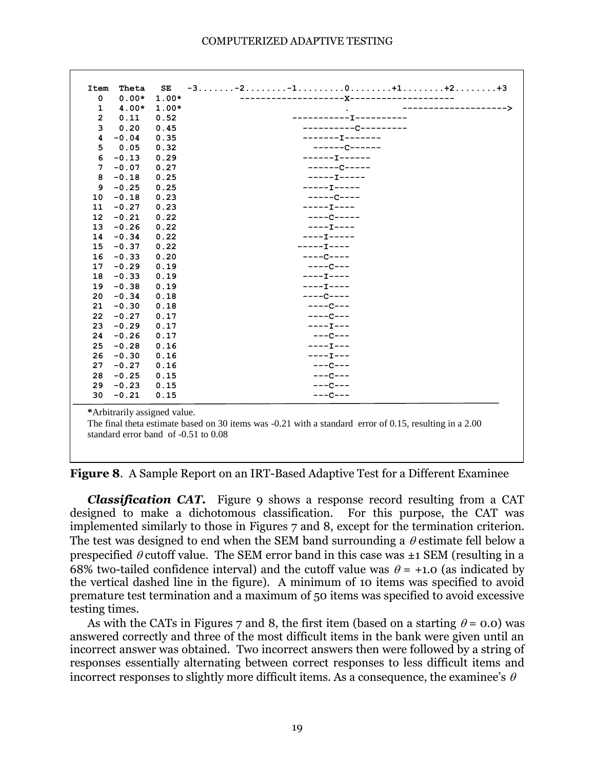| 0           | $0.00*$ | $1.00*$ | ----------X----------------- |
|-------------|---------|---------|------------------------------|
| $\mathbf 1$ | $4.00*$ | $1.00*$ | ----------->                 |
| 2           | 0.11    | 0.52    | -----------T----------       |
| 3           | 0.20    | 0.45    | ---------------------        |
| 4           | $-0.04$ | 0.35    | -------I-------              |
| 5           | 0.05    | 0.32    | -------------                |
| 6           | $-0.13$ | 0.29    | $-----T-----$                |
| 7           | $-0.07$ | 0.27    | $---C---$                    |
| 8           | $-0.18$ | 0.25    | $---I----$                   |
| 9           | $-0.25$ | 0.25    | $---T---$                    |
| 10          | $-0.18$ | 0.23    | $---C---$                    |
| 11          | $-0.27$ | 0.23    | $---I---$                    |
| 12          | $-0.21$ | 0.22    | $---C---$                    |
| 13          | $-0.26$ | 0.22    | $---I---$                    |
| 14          | $-0.34$ | 0.22    | $---I---$                    |
| 15          | $-0.37$ | 0.22    | $---I---$                    |
| 16          | $-0.33$ | 0.20    | $---C---$                    |
| 17          | $-0.29$ | 0.19    | $---C---$                    |
| 18          | $-0.33$ | 0.19    | $---I---$                    |
| 19          | $-0.38$ | 0.19    | $---I---$                    |
| 20          | $-0.34$ | 0.18    | $---C---$                    |
| 21          | $-0.30$ | 0.18    | $---C---$                    |
| 22          | $-0.27$ | 0.17    | $---C---$                    |
| 23          | $-0.29$ | 0.17    | $---I---$                    |
| 24          | $-0.26$ | 0.17    | $---C---$                    |
| 25          | $-0.28$ | 0.16    | $---I---$                    |
| 26          | $-0.30$ | 0.16    | $---I---$                    |
| 27          | $-0.27$ | 0.16    | $---C---$                    |
| 28          | $-0.25$ | 0.15    | $---C---$                    |
| 29          | $-0.23$ | 0.15    | $---C---$                    |
| 30          | $-0.21$ | 0.15    | $---C---$                    |
|             |         |         |                              |

**Figure 8**. A Sample Report on an IRT-Based Adaptive Test for a Different Examinee

*Classification CAT.* Figure 9 shows a response record resulting from a CAT designed to make a dichotomous classification. For this purpose, the CAT was implemented similarly to those in Figures 7 and 8, except for the termination criterion. The test was designed to end when the SEM band surrounding a  $\theta$  estimate fell below a prespecified  $\theta$  cutoff value. The SEM error band in this case was  $\pm 1$  SEM (resulting in a 68% two-tailed confidence interval) and the cutoff value was  $\theta$  = +1.0 (as indicated by the vertical dashed line in the figure). A minimum of 10 items was specified to avoid premature test termination and a maximum of 50 items was specified to avoid excessive testing times.

As with the CATs in Figures 7 and 8, the first item (based on a starting  $\theta = 0.0$ ) was answered correctly and three of the most difficult items in the bank were given until an incorrect answer was obtained. Two incorrect answers then were followed by a string of responses essentially alternating between correct responses to less difficult items and incorrect responses to slightly more difficult items. As a consequence, the examinee's  $\theta$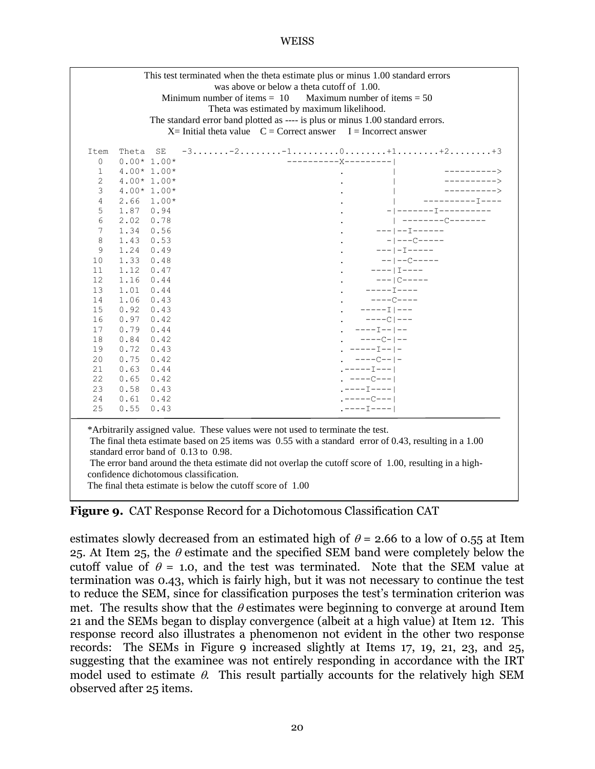| This test terminated when the theta estimate plus or minus 1.00 standard errors<br>was above or below a theta cutoff of 1.00.<br>Minimum number of items $= 10$<br>Maximum number of items $= 50$<br>Theta was estimated by maximum likelihood.<br>The standard error band plotted as ---- is plus or minus 1.00 standard errors.<br>$X=$ Initial theta value $C =$ Correct answer I = Incorrect answer |       |              |                                                                                                            |                              |  |  |  |  |  |
|---------------------------------------------------------------------------------------------------------------------------------------------------------------------------------------------------------------------------------------------------------------------------------------------------------------------------------------------------------------------------------------------------------|-------|--------------|------------------------------------------------------------------------------------------------------------|------------------------------|--|--|--|--|--|
| Item                                                                                                                                                                                                                                                                                                                                                                                                    | Theta | SE           | $-3.\dots.\dots-2.\dots\dots.\dots-1.\dots\dots\dots\dots\dots\dots+1.\dots\dots\dots+2.\dots\dots\dots+3$ |                              |  |  |  |  |  |
| 0                                                                                                                                                                                                                                                                                                                                                                                                       |       | $0.00*1.00*$ | ----------X---------                                                                                       |                              |  |  |  |  |  |
| 1                                                                                                                                                                                                                                                                                                                                                                                                       |       | $4.00*1.00*$ |                                                                                                            | ---------->                  |  |  |  |  |  |
| 2                                                                                                                                                                                                                                                                                                                                                                                                       |       | $4.00*1.00*$ |                                                                                                            |                              |  |  |  |  |  |
| 3                                                                                                                                                                                                                                                                                                                                                                                                       |       | $4.00*1.00*$ |                                                                                                            |                              |  |  |  |  |  |
| 4                                                                                                                                                                                                                                                                                                                                                                                                       | 2.66  | $1.00*$      |                                                                                                            | ----------T----              |  |  |  |  |  |
| 5                                                                                                                                                                                                                                                                                                                                                                                                       | 1.87  | 0.94         |                                                                                                            | -------------------          |  |  |  |  |  |
| 6                                                                                                                                                                                                                                                                                                                                                                                                       | 2.02  | 0.78         |                                                                                                            | $ $ --------C-------         |  |  |  |  |  |
| 7                                                                                                                                                                                                                                                                                                                                                                                                       | 1.34  | 0.56         |                                                                                                            | $---1---1------$             |  |  |  |  |  |
| 8                                                                                                                                                                                                                                                                                                                                                                                                       | 1.43  | 0.53         |                                                                                                            | $-$   $---C$ $-- -$          |  |  |  |  |  |
| 9                                                                                                                                                                                                                                                                                                                                                                                                       | 1.24  | 0.49         |                                                                                                            | $---  -1--- -$               |  |  |  |  |  |
| 10                                                                                                                                                                                                                                                                                                                                                                                                      | 1.33  | 0.48         |                                                                                                            | $--- \rvert -- \rvert -----$ |  |  |  |  |  |
| 11                                                                                                                                                                                                                                                                                                                                                                                                      | 1.12  | 0.47         |                                                                                                            | $--- 11--- $                 |  |  |  |  |  |
| 12                                                                                                                                                                                                                                                                                                                                                                                                      | 1.16  | 0.44         |                                                                                                            | $--- C---$                   |  |  |  |  |  |
| 13                                                                                                                                                                                                                                                                                                                                                                                                      | 1.01  | 0.44         | $---T---$                                                                                                  |                              |  |  |  |  |  |
| 14                                                                                                                                                                                                                                                                                                                                                                                                      | 1.06  | 0.43         | $---C---$                                                                                                  |                              |  |  |  |  |  |
| 15                                                                                                                                                                                                                                                                                                                                                                                                      | 0.92  | 0.43         | $---I \mid ---$                                                                                            |                              |  |  |  |  |  |
| 16                                                                                                                                                                                                                                                                                                                                                                                                      | 0.97  | 0.42         | $---C$   $---$                                                                                             |                              |  |  |  |  |  |
| 17                                                                                                                                                                                                                                                                                                                                                                                                      | 0.79  | 0.44         | $---I-- --$                                                                                                |                              |  |  |  |  |  |
| 18                                                                                                                                                                                                                                                                                                                                                                                                      | 0.84  | 0.42         | $---C- -$                                                                                                  |                              |  |  |  |  |  |
| 19                                                                                                                                                                                                                                                                                                                                                                                                      | 0.72  | 0.43         | $---I-- -$                                                                                                 |                              |  |  |  |  |  |
| 20                                                                                                                                                                                                                                                                                                                                                                                                      | 0.75  | 0.42         | $---C--$   -                                                                                               |                              |  |  |  |  |  |
| 21                                                                                                                                                                                                                                                                                                                                                                                                      | 0.63  | 0.44         | . -----I--- l                                                                                              |                              |  |  |  |  |  |
| 22                                                                                                                                                                                                                                                                                                                                                                                                      | 0.65  | 0.42         | . ----C---                                                                                                 |                              |  |  |  |  |  |
| 23                                                                                                                                                                                                                                                                                                                                                                                                      | 0.58  | 0.43         | $---I---$                                                                                                  |                              |  |  |  |  |  |
| 24                                                                                                                                                                                                                                                                                                                                                                                                      | 0.61  | 0.42         | $---C---$                                                                                                  |                              |  |  |  |  |  |
| 25                                                                                                                                                                                                                                                                                                                                                                                                      | 0.55  | 0.43         | $: --- I --- I$                                                                                            |                              |  |  |  |  |  |
| *Arbitrarily assigned value. These values were not used to terminate the test.<br>The final theta estimate based on 25 items was 0.55 with a standard error of 0.43, resulting in a 1.00<br>standard error band of 0.13 to 0.98.<br>The error band around the theta estimate did not overlap the cutoff score of 1.00, resulting in a high-<br>confidence dichotomous classification.                   |       |              |                                                                                                            |                              |  |  |  |  |  |

The final theta estimate is below the cutoff score of 1.00

# **Figure 9.** CAT Response Record for a Dichotomous Classification CAT

estimates slowly decreased from an estimated high of  $\theta$  = 2.66 to a low of 0.55 at Item 25. At Item 25, the  $\theta$  estimate and the specified SEM band were completely below the cutoff value of  $\theta = 1.0$ , and the test was terminated. Note that the SEM value at termination was 0.43, which is fairly high, but it was not necessary to continue the test to reduce the SEM, since for classification purposes the test's termination criterion was met. The results show that the  $\theta$  estimates were beginning to converge at around Item 21 and the SEMs began to display convergence (albeit at a high value) at Item 12. This response record also illustrates a phenomenon not evident in the other two response records: The SEMs in Figure 9 increased slightly at Items 17, 19, 21, 23, and 25, suggesting that the examinee was not entirely responding in accordance with the IRT model used to estimate  $\theta$ . This result partially accounts for the relatively high SEM observed after 25 items.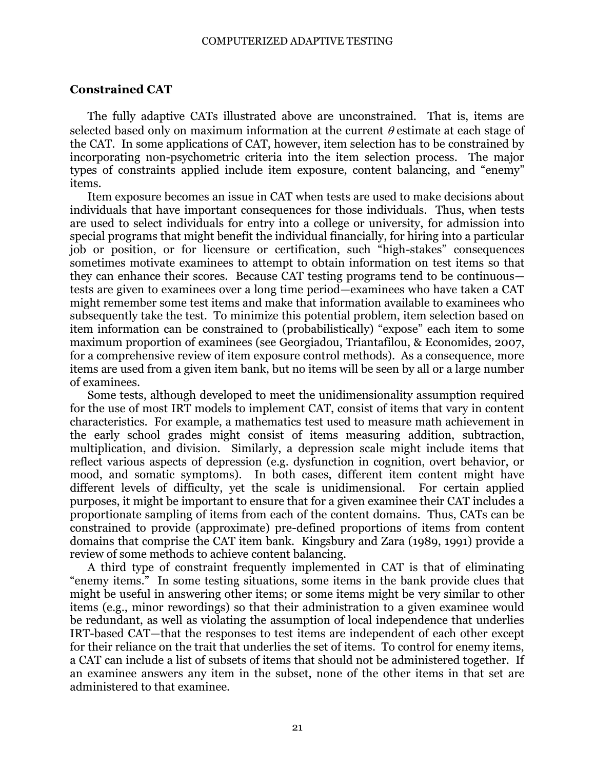#### COMPUTERIZED ADAPTIVE TESTING

### **Constrained CAT**

The fully adaptive CATs illustrated above are unconstrained. That is, items are selected based only on maximum information at the current  $\theta$  estimate at each stage of the CAT. In some applications of CAT, however, item selection has to be constrained by incorporating non-psychometric criteria into the item selection process. The major types of constraints applied include item exposure, content balancing, and "enemy" items.

Item exposure becomes an issue in CAT when tests are used to make decisions about individuals that have important consequences for those individuals. Thus, when tests are used to select individuals for entry into a college or university, for admission into special programs that might benefit the individual financially, for hiring into a particular job or position, or for licensure or certification, such "high-stakes" consequences sometimes motivate examinees to attempt to obtain information on test items so that they can enhance their scores. Because CAT testing programs tend to be continuous tests are given to examinees over a long time period—examinees who have taken a CAT might remember some test items and make that information available to examinees who subsequently take the test. To minimize this potential problem, item selection based on item information can be constrained to (probabilistically) "expose" each item to some maximum proportion of examinees (see Georgiadou, Triantafilou, & Economides, 2007, for a comprehensive review of item exposure control methods). As a consequence, more items are used from a given item bank, but no items will be seen by all or a large number of examinees.

Some tests, although developed to meet the unidimensionality assumption required for the use of most IRT models to implement CAT, consist of items that vary in content characteristics. For example, a mathematics test used to measure math achievement in the early school grades might consist of items measuring addition, subtraction, multiplication, and division. Similarly, a depression scale might include items that reflect various aspects of depression (e.g. dysfunction in cognition, overt behavior, or mood, and somatic symptoms). In both cases, different item content might have different levels of difficulty, yet the scale is unidimensional. For certain applied purposes, it might be important to ensure that for a given examinee their CAT includes a proportionate sampling of items from each of the content domains. Thus, CATs can be constrained to provide (approximate) pre-defined proportions of items from content domains that comprise the CAT item bank. Kingsbury and Zara (1989, 1991) provide a review of some methods to achieve content balancing.

A third type of constraint frequently implemented in CAT is that of eliminating "enemy items." In some testing situations, some items in the bank provide clues that might be useful in answering other items; or some items might be very similar to other items (e.g., minor rewordings) so that their administration to a given examinee would be redundant, as well as violating the assumption of local independence that underlies IRT-based CAT—that the responses to test items are independent of each other except for their reliance on the trait that underlies the set of items. To control for enemy items, a CAT can include a list of subsets of items that should not be administered together. If an examinee answers any item in the subset, none of the other items in that set are administered to that examinee.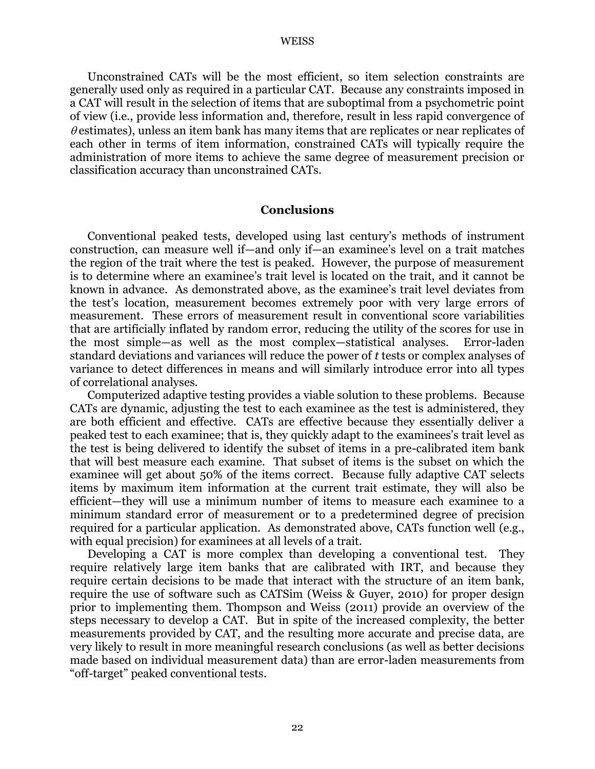Unconstrained CATs will be the most efficient, so item selection constraints are generally used only as required in a particular CAT. Because any constraints imposed in a CAT will result in the selection of items that are suboptimal from a psychometric point of view (i.e., provide less information and, therefore, result in less rapid convergence of  $\theta$  estimates), unless an item bank has many items that are replicates or near replicates of each other in terms of item information, constrained CATs will typically require the administration of more items to achieve the same degree of measurement precision or classification accuracy than unconstrained CATs.

#### **Conclusions**

Conventional peaked tests, developed using last century's methods of instrument construction, can measure well if—and only if—an examinee's level on a trait matches the region of the trait where the test is peaked. However, the purpose of measurement is to determine where an examinee's trait level is located on the trait, and it cannot be known in advance. As demonstrated above, as the examinee's trait level deviates from the test's location, measurement becomes extremely poor with very large errors of measurement. These errors of measurement result in conventional score variabilities that are artificially inflated by random error, reducing the utility of the scores for use in the most simple—as well as the most complex—statistical analyses. Error-laden standard deviations and variances will reduce the power of *t* tests or complex analyses of variance to detect differences in means and will similarly introduce error into all types of correlational analyses.

Computerized adaptive testing provides a viable solution to these problems. Because CATs are dynamic, adjusting the test to each examinee as the test is administered, they are both efficient and effective. CATs are effective because they essentially deliver a peaked test to each examinee; that is, they quickly adapt to the examinees's trait level as the test is being delivered to identify the subset of items in a pre-calibrated item bank that will best measure each examine. That subset of items is the subset on which the examinee will get about 50% of the items correct. Because fully adaptive CAT selects items by maximum item information at the current trait estimate, they will also be efficient—they will use a minimum number of items to measure each examinee to a minimum standard error of measurement or to a predetermined degree of precision required for a particular application. As demonstrated above, CATs function well (e.g., with equal precision) for examinees at all levels of a trait.

Developing a CAT is more complex than developing a conventional test. They require relatively large item banks that are calibrated with IRT, and because they require certain decisions to be made that interact with the structure of an item bank, require the use of software such as CATSim (Weiss & Guyer, 2010) for proper design prior to implementing them. Thompson and Weiss (2011) provide an overview of the steps necessary to develop a CAT. But in spite of the increased complexity, the better measurements provided by CAT, and the resulting more accurate and precise data, are very likely to result in more meaningful research conclusions (as well as better decisions made based on individual measurement data) than are error-laden measurements from ―off-target‖ peaked conventional tests.